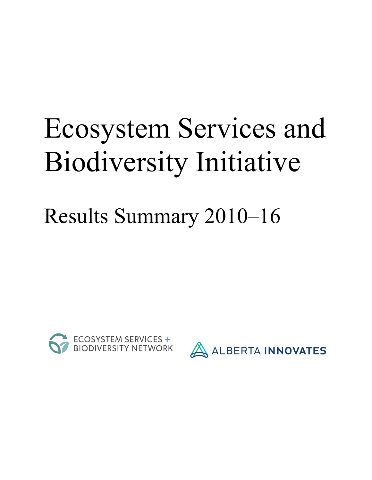# Ecosystem Services and Biodiversity Initiative

# Results Summary 2010–16



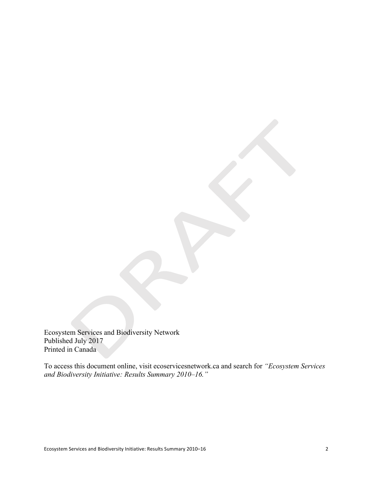Ecosystem Services and Biodiversity Network Published July 2017 Printed in Canada

To access this document online, visit ecoservicesnetwork.ca and search for *"Ecosystem Services and Biodiversity Initiative: Results Summary 2010–16."*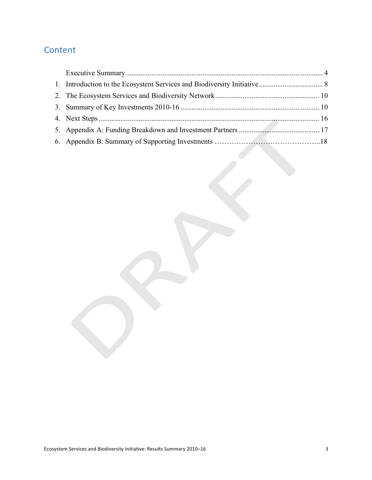# Content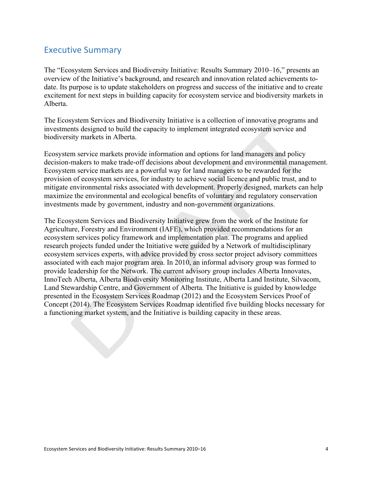## **Executive Summary**

The "Ecosystem Services and Biodiversity Initiative: Results Summary 2010–16," presents an overview of the Initiative's background, and research and innovation related achievements todate. Its purpose is to update stakeholders on progress and success of the initiative and to create excitement for next steps in building capacity for ecosystem service and biodiversity markets in Alberta.

The Ecosystem Services and Biodiversity Initiative is a collection of innovative programs and investments designed to build the capacity to implement integrated ecosystem service and biodiversity markets in Alberta.

Ecosystem service markets provide information and options for land managers and policy decision-makers to make trade-off decisions about development and environmental management. Ecosystem service markets are a powerful way for land managers to be rewarded for the provision of ecosystem services, for industry to achieve social licence and public trust, and to mitigate environmental risks associated with development. Properly designed, markets can help maximize the environmental and ecological benefits of voluntary and regulatory conservation investments made by government, industry and non-government organizations.

The Ecosystem Services and Biodiversity Initiative grew from the work of the Institute for Agriculture, Forestry and Environment (IAFE), which provided recommendations for an ecosystem services policy framework and implementation plan. The programs and applied research projects funded under the Initiative were guided by a Network of multidisciplinary ecosystem services experts, with advice provided by cross sector project advisory committees associated with each major program area. In 2010, an informal advisory group was formed to provide leadership for the Network. The current advisory group includes Alberta Innovates, InnoTech Alberta, Alberta Biodiversity Monitoring Institute, Alberta Land Institute, Silvacom, Land Stewardship Centre, and Government of Alberta. The Initiative is guided by knowledge presented in the Ecosystem Services Roadmap (2012) and the Ecosystem Services Proof of Concept (2014). The Ecosystem Services Roadmap identified five building blocks necessary for a functioning market system, and the Initiative is building capacity in these areas.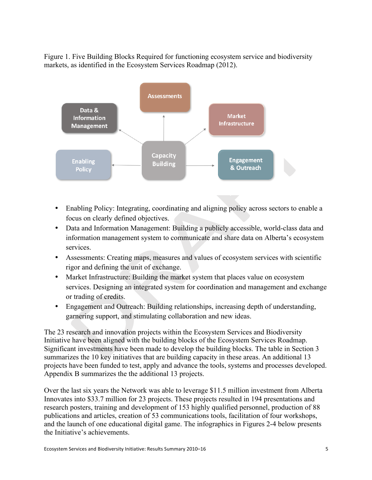Figure 1. Five Building Blocks Required for functioning ecosystem service and biodiversity markets, as identified in the Ecosystem Services Roadmap (2012).



- Enabling Policy: Integrating, coordinating and aligning policy across sectors to enable a focus on clearly defined objectives.
- Data and Information Management: Building a publicly accessible, world-class data and information management system to communicate and share data on Alberta's ecosystem services.
- Assessments: Creating maps, measures and values of ecosystem services with scientific rigor and defining the unit of exchange.
- Market Infrastructure: Building the market system that places value on ecosystem services. Designing an integrated system for coordination and management and exchange or trading of credits.
- Engagement and Outreach: Building relationships, increasing depth of understanding, garnering support, and stimulating collaboration and new ideas.

The 23 research and innovation projects within the Ecosystem Services and Biodiversity Initiative have been aligned with the building blocks of the Ecosystem Services Roadmap. Significant investments have been made to develop the building blocks. The table in Section 3 summarizes the 10 key initiatives that are building capacity in these areas. An additional 13 projects have been funded to test, apply and advance the tools, systems and processes developed. Appendix B summarizes the the additional 13 projects.

Over the last six years the Network was able to leverage \$11.5 million investment from Alberta Innovates into \$33.7 million for 23 projects. These projects resulted in 194 presentations and research posters, training and development of 153 highly qualified personnel, production of 88 publications and articles, creation of 53 communications tools, facilitation of four workshops, and the launch of one educational digital game. The infographics in Figures 2-4 below presents the Initiative's achievements.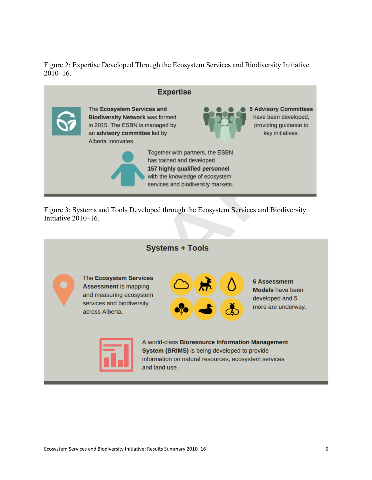Figure 2: Expertise Developed Through the Ecosystem Services and Biodiversity Initiative  $2010 - 16$ .



Figure 3: Systems and Tools Developed through the Ecosystem Services and Biodiversity Initiative 2010–16.

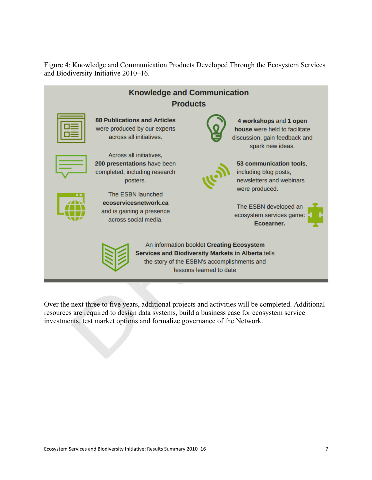Figure 4: Knowledge and Communication Products Developed Through the Ecosystem Services and Biodiversity Initiative 2010–16.



Over the next three to five years, additional projects and activities will be completed. Additional resources are required to design data systems, build a business case for ecosystem service investments, test market options and formalize governance of the Network.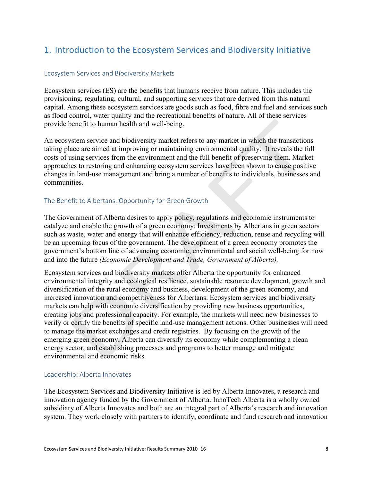# 1. Introduction to the Ecosystem Services and Biodiversity Initiative

#### Ecosystem Services and Biodiversity Markets

Ecosystem services (ES) are the benefits that humans receive from nature. This includes the provisioning, regulating, cultural, and supporting services that are derived from this natural capital. Among these ecosystem services are goods such as food, fibre and fuel and services such as flood control, water quality and the recreational benefits of nature. All of these services provide benefit to human health and well-being.

An ecosystem service and biodiversity market refers to any market in which the transactions taking place are aimed at improving or maintaining environmental quality. It reveals the full costs of using services from the environment and the full benefit of preserving them. Market approaches to restoring and enhancing ecosystem services have been shown to cause positive changes in land-use management and bring a number of benefits to individuals, businesses and communities.

#### The Benefit to Albertans: Opportunity for Green Growth

The Government of Alberta desires to apply policy, regulations and economic instruments to catalyze and enable the growth of a green economy. Investments by Albertans in green sectors such as waste, water and energy that will enhance efficiency, reduction, reuse and recycling will be an upcoming focus of the government. The development of a green economy promotes the government's bottom line of advancing economic, environmental and social well-being for now and into the future *(Economic Development and Trade, Government of Alberta).*

Ecosystem services and biodiversity markets offer Alberta the opportunity for enhanced environmental integrity and ecological resilience, sustainable resource development, growth and diversification of the rural economy and business, development of the green economy, and increased innovation and competitiveness for Albertans. Ecosystem services and biodiversity markets can help with economic diversification by providing new business opportunities, creating jobs and professional capacity. For example, the markets will need new businesses to verify or certify the benefits of specific land-use management actions. Other businesses will need to manage the market exchanges and credit registries. By focusing on the growth of the emerging green economy, Alberta can diversify its economy while complementing a clean energy sector, and establishing processes and programs to better manage and mitigate environmental and economic risks.

#### Leadership: Alberta Innovates

The Ecosystem Services and Biodiversity Initiative is led by Alberta Innovates, a research and innovation agency funded by the Government of Alberta. InnoTech Alberta is a wholly owned subsidiary of Alberta Innovates and both are an integral part of Alberta's research and innovation system. They work closely with partners to identify, coordinate and fund research and innovation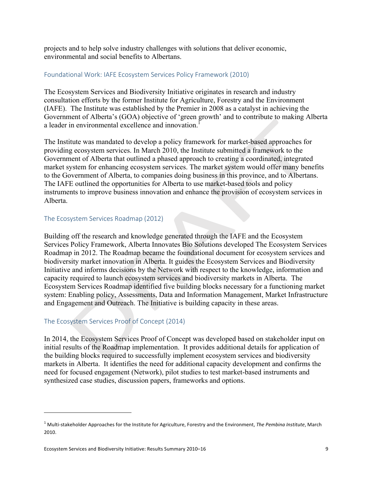projects and to help solve industry challenges with solutions that deliver economic, environmental and social benefits to Albertans.

#### Foundational Work: IAFE Ecosystem Services Policy Framework (2010)

The Ecosystem Services and Biodiversity Initiative originates in research and industry consultation efforts by the former Institute for Agriculture, Forestry and the Environment (IAFE). The Institute was established by the Premier in 2008 as a catalyst in achieving the Government of Alberta's (GOA) objective of 'green growth' and to contribute to making Alberta a leader in environmental excellence and innovation.<sup>1</sup>

The Institute was mandated to develop a policy framework for market-based approaches for providing ecosystem services. In March 2010, the Institute submitted a framework to the Government of Alberta that outlined a phased approach to creating a coordinated, integrated market system for enhancing ecosystem services. The market system would offer many benefits to the Government of Alberta, to companies doing business in this province, and to Albertans. The IAFE outlined the opportunities for Alberta to use market-based tools and policy instruments to improve business innovation and enhance the provision of ecosystem services in Alberta.

#### The Ecosystem Services Roadmap (2012)

Building off the research and knowledge generated through the IAFE and the Ecosystem Services Policy Framework, Alberta Innovates Bio Solutions developed The Ecosystem Services Roadmap in 2012. The Roadmap became the foundational document for ecosystem services and biodiversity market innovation in Alberta. It guides the Ecosystem Services and Biodiversity Initiative and informs decisions by the Network with respect to the knowledge, information and capacity required to launch ecosystem services and biodiversity markets in Alberta. The Ecosystem Services Roadmap identified five building blocks necessary for a functioning market system: Enabling policy, Assessments, Data and Information Management, Market Infrastructure and Engagement and Outreach. The Initiative is building capacity in these areas.

#### The Ecosystem Services Proof of Concept (2014)

In 2014, the Ecosystem Services Proof of Concept was developed based on stakeholder input on initial results of the Roadmap implementation. It provides additional details for application of the building blocks required to successfully implement ecosystem services and biodiversity markets in Alberta. It identifies the need for additional capacity development and confirms the need for focused engagement (Network), pilot studies to test market-based instruments and synthesized case studies, discussion papers, frameworks and options.

 $\overline{a}$ 

 $1$  Multi-stakeholder Approaches for the Institute for Agriculture, Forestry and the Environment, The Pembina Institute, March 2010.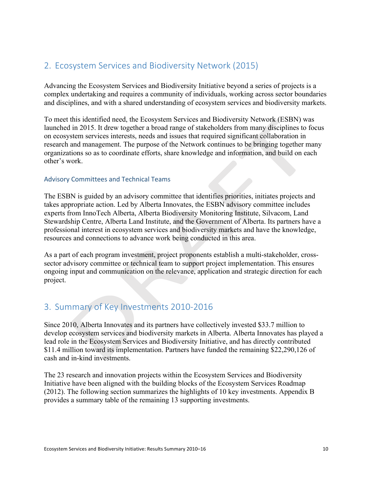# 2. Ecosystem Services and Biodiversity Network (2015)

Advancing the Ecosystem Services and Biodiversity Initiative beyond a series of projects is a complex undertaking and requires a community of individuals, working across sector boundaries and disciplines, and with a shared understanding of ecosystem services and biodiversity markets.

To meet this identified need, the Ecosystem Services and Biodiversity Network (ESBN) was launched in 2015. It drew together a broad range of stakeholders from many disciplines to focus on ecosystem services interests, needs and issues that required significant collaboration in research and management. The purpose of the Network continues to be bringing together many organizations so as to coordinate efforts, share knowledge and information, and build on each other's work.

#### Advisory Committees and Technical Teams

The ESBN is guided by an advisory committee that identifies priorities, initiates projects and takes appropriate action. Led by Alberta Innovates, the ESBN advisory committee includes experts from InnoTech Alberta, Alberta Biodiversity Monitoring Institute, Silvacom, Land Stewardship Centre, Alberta Land Institute, and the Government of Alberta. Its partners have a professional interest in ecosystem services and biodiversity markets and have the knowledge, resources and connections to advance work being conducted in this area.

As a part of each program investment, project proponents establish a multi-stakeholder, crosssector advisory committee or technical team to support project implementation. This ensures ongoing input and communication on the relevance, application and strategic direction for each project.

## 3. Summary of Key Investments 2010-2016

Since 2010, Alberta Innovates and its partners have collectively invested \$33.7 million to develop ecosystem services and biodiversity markets in Alberta. Alberta Innovates has played a lead role in the Ecosystem Services and Biodiversity Initiative, and has directly contributed \$11.4 million toward its implementation. Partners have funded the remaining \$22,290,126 of cash and in-kind investments.

The 23 research and innovation projects within the Ecosystem Services and Biodiversity Initiative have been aligned with the building blocks of the Ecosystem Services Roadmap (2012). The following section summarizes the highlights of 10 key investments. Appendix B provides a summary table of the remaining 13 supporting investments.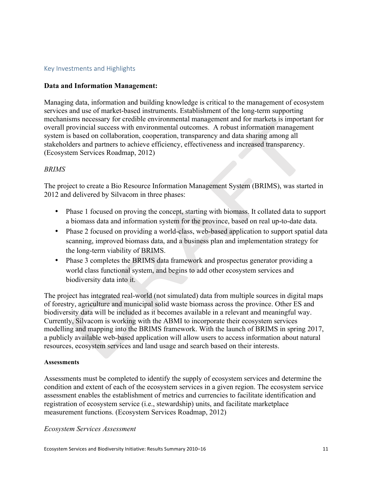#### Key Investments and Highlights

#### **Data and Information Management:**

Managing data, information and building knowledge is critical to the management of ecosystem services and use of market-based instruments. Establishment of the long-term supporting mechanisms necessary for credible environmental management and for markets is important for overall provincial success with environmental outcomes. A robust information management system is based on collaboration, cooperation, transparency and data sharing among all stakeholders and partners to achieve efficiency, effectiveness and increased transparency. (Ecosystem Services Roadmap, 2012)

#### *BRIMS*

The project to create a Bio Resource Information Management System (BRIMS), was started in 2012 and delivered by Silvacom in three phases:

- Phase 1 focused on proving the concept, starting with biomass. It collated data to support a biomass data and information system for the province, based on real up-to-date data.
- Phase 2 focused on providing a world-class, web-based application to support spatial data scanning, improved biomass data, and a business plan and implementation strategy for the long-term viability of BRIMS.
- Phase 3 completes the BRIMS data framework and prospectus generator providing a world class functional system, and begins to add other ecosystem services and biodiversity data into it.

The project has integrated real-world (not simulated) data from multiple sources in digital maps of forestry, agriculture and municipal solid waste biomass across the province. Other ES and biodiversity data will be included as it becomes available in a relevant and meaningful way. Currently, Silvacom is working with the ABMI to incorporate their ecosystem services modelling and mapping into the BRIMS framework. With the launch of BRIMS in spring 2017, a publicly available web-based application will allow users to access information about natural resources, ecosystem services and land usage and search based on their interests.

#### **Assessments**

Assessments must be completed to identify the supply of ecosystem services and determine the condition and extent of each of the ecosystem services in a given region. The ecosystem service assessment enables the establishment of metrics and currencies to facilitate identification and registration of ecosystem service (i.e., stewardship) units, and facilitate marketplace measurement functions. (Ecosystem Services Roadmap, 2012)

#### *Ecosystem Services Assessment*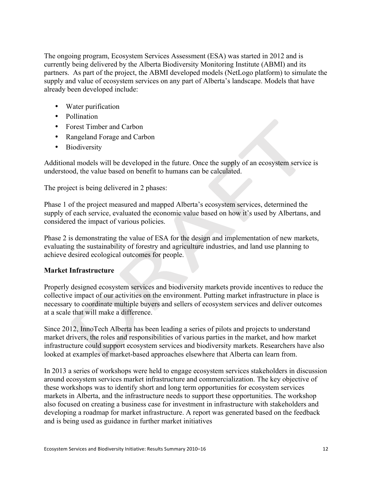The ongoing program, Ecosystem Services Assessment (ESA) was started in 2012 and is currently being delivered by the Alberta Biodiversity Monitoring Institute (ABMI) and its partners. As part of the project, the ABMI developed models (NetLogo platform) to simulate the supply and value of ecosystem services on any part of Alberta's landscape. Models that have already been developed include:

- Water purification
- Pollination
- Forest Timber and Carbon
- Rangeland Forage and Carbon
- Biodiversity

Additional models will be developed in the future. Once the supply of an ecosystem service is understood, the value based on benefit to humans can be calculated.

The project is being delivered in 2 phases:

Phase 1 of the project measured and mapped Alberta's ecosystem services, determined the supply of each service, evaluated the economic value based on how it's used by Albertans, and considered the impact of various policies.

Phase 2 is demonstrating the value of ESA for the design and implementation of new markets, evaluating the sustainability of forestry and agriculture industries, and land use planning to achieve desired ecological outcomes for people.

#### **Market Infrastructure**

Properly designed ecosystem services and biodiversity markets provide incentives to reduce the collective impact of our activities on the environment. Putting market infrastructure in place is necessary to coordinate multiple buyers and sellers of ecosystem services and deliver outcomes at a scale that will make a difference.

Since 2012, InnoTech Alberta has been leading a series of pilots and projects to understand market drivers, the roles and responsibilities of various parties in the market, and how market infrastructure could support ecosystem services and biodiversity markets. Researchers have also looked at examples of market-based approaches elsewhere that Alberta can learn from.

In 2013 a series of workshops were held to engage ecosystem services stakeholders in discussion around ecosystem services market infrastructure and commercialization. The key objective of these workshops was to identify short and long term opportunities for ecosystem services markets in Alberta, and the infrastructure needs to support these opportunities. The workshop also focused on creating a business case for investment in infrastructure with stakeholders and developing a roadmap for market infrastructure. A report was generated based on the feedback and is being used as guidance in further market initiatives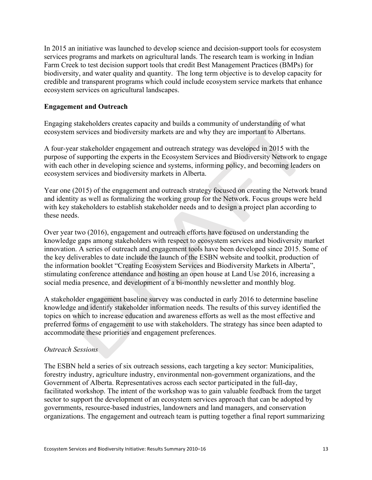In 2015 an initiative was launched to develop science and decision-support tools for ecosystem services programs and markets on agricultural lands. The research team is working in Indian Farm Creek to test decision support tools that credit Best Management Practices (BMPs) for biodiversity, and water quality and quantity. The long term objective is to develop capacity for credible and transparent programs which could include ecosystem service markets that enhance ecosystem services on agricultural landscapes.

#### **Engagement and Outreach**

Engaging stakeholders creates capacity and builds a community of understanding of what ecosystem services and biodiversity markets are and why they are important to Albertans.

A four-year stakeholder engagement and outreach strategy was developed in 2015 with the purpose of supporting the experts in the Ecosystem Services and Biodiversity Network to engage with each other in developing science and systems, informing policy, and becoming leaders on ecosystem services and biodiversity markets in Alberta.

Year one (2015) of the engagement and outreach strategy focused on creating the Network brand and identity as well as formalizing the working group for the Network. Focus groups were held with key stakeholders to establish stakeholder needs and to design a project plan according to these needs.

Over year two (2016), engagement and outreach efforts have focused on understanding the knowledge gaps among stakeholders with respect to ecosystem services and biodiversity market innovation. A series of outreach and engagement tools have been developed since 2015. Some of the key deliverables to date include the launch of the ESBN website and toolkit, production of the information booklet "Creating Ecosystem Services and Biodiversity Markets in Alberta", stimulating conference attendance and hosting an open house at Land Use 2016, increasing a social media presence, and development of a bi-monthly newsletter and monthly blog.

A stakeholder engagement baseline survey was conducted in early 2016 to determine baseline knowledge and identify stakeholder information needs. The results of this survey identified the topics on which to increase education and awareness efforts as well as the most effective and preferred forms of engagement to use with stakeholders. The strategy has since been adapted to accommodate these priorities and engagement preferences.

#### *Outreach Sessions*

The ESBN held a series of six outreach sessions, each targeting a key sector: Municipalities, forestry industry, agriculture industry, environmental non-government organizations, and the Government of Alberta. Representatives across each sector participated in the full-day, facilitated workshop. The intent of the workshop was to gain valuable feedback from the target sector to support the development of an ecosystem services approach that can be adopted by governments, resource-based industries, landowners and land managers, and conservation organizations. The engagement and outreach team is putting together a final report summarizing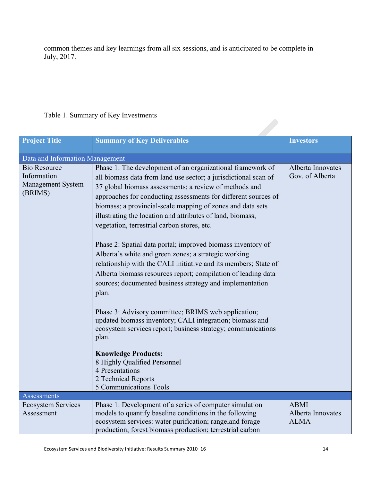common themes and key learnings from all six sessions, and is anticipated to be complete in July, 2017.

#### Table 1. Summary of Key Investments

| Table 1. Building y Of Rey Hivesuncins                             |                                                                                                                                                                                                                                                                                                                                                                                                                                                                                                                                                                                                                                                                                                                                                                                                                                                                                                                                                                                                                                                   |                                                 |
|--------------------------------------------------------------------|---------------------------------------------------------------------------------------------------------------------------------------------------------------------------------------------------------------------------------------------------------------------------------------------------------------------------------------------------------------------------------------------------------------------------------------------------------------------------------------------------------------------------------------------------------------------------------------------------------------------------------------------------------------------------------------------------------------------------------------------------------------------------------------------------------------------------------------------------------------------------------------------------------------------------------------------------------------------------------------------------------------------------------------------------|-------------------------------------------------|
| Project Title                                                      | <b>Summary of Key Deliverables</b>                                                                                                                                                                                                                                                                                                                                                                                                                                                                                                                                                                                                                                                                                                                                                                                                                                                                                                                                                                                                                | <b>Investors</b>                                |
| Data and Information Management                                    |                                                                                                                                                                                                                                                                                                                                                                                                                                                                                                                                                                                                                                                                                                                                                                                                                                                                                                                                                                                                                                                   |                                                 |
| <b>Bio Resource</b><br>Information<br>Management System<br>(BRIMS) | Phase 1: The development of an organizational framework of<br>all biomass data from land use sector; a jurisdictional scan of<br>37 global biomass assessments; a review of methods and<br>approaches for conducting assessments for different sources of<br>biomass; a provincial-scale mapping of zones and data sets<br>illustrating the location and attributes of land, biomass,<br>vegetation, terrestrial carbon stores, etc.<br>Phase 2: Spatial data portal; improved biomass inventory of<br>Alberta's white and green zones; a strategic working<br>relationship with the CALI initiative and its members; State of<br>Alberta biomass resources report; compilation of leading data<br>sources; documented business strategy and implementation<br>plan.<br>Phase 3: Advisory committee; BRIMS web application;<br>updated biomass inventory; CALI integration; biomass and<br>ecosystem services report; business strategy; communications<br>plan.<br><b>Knowledge Products:</b><br>8 Highly Qualified Personnel<br>4 Presentations | Alberta Innovates<br>Gov. of Alberta            |
|                                                                    | 2 Technical Reports<br>5 Communications Tools                                                                                                                                                                                                                                                                                                                                                                                                                                                                                                                                                                                                                                                                                                                                                                                                                                                                                                                                                                                                     |                                                 |
| Assessments                                                        |                                                                                                                                                                                                                                                                                                                                                                                                                                                                                                                                                                                                                                                                                                                                                                                                                                                                                                                                                                                                                                                   |                                                 |
| <b>Ecosystem Services</b><br>Assessment                            | Phase 1: Development of a series of computer simulation<br>models to quantify baseline conditions in the following<br>ecosystem services: water purification; rangeland forage<br>production; forest biomass production; terrestrial carbon                                                                                                                                                                                                                                                                                                                                                                                                                                                                                                                                                                                                                                                                                                                                                                                                       | <b>ABMI</b><br>Alberta Innovates<br><b>ALMA</b> |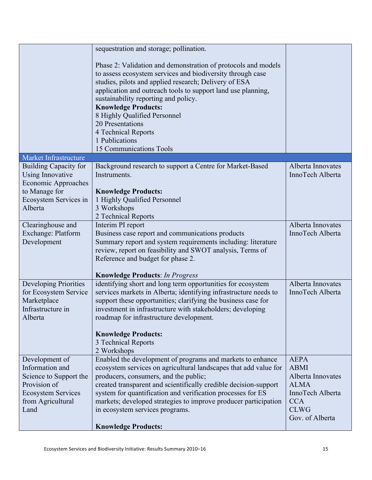|                                   | sequestration and storage; pollination.                                                                          |                                       |
|-----------------------------------|------------------------------------------------------------------------------------------------------------------|---------------------------------------|
|                                   | Phase 2: Validation and demonstration of protocols and models                                                    |                                       |
|                                   | to assess ecosystem services and biodiversity through case                                                       |                                       |
|                                   | studies, pilots and applied research; Delivery of ESA                                                            |                                       |
|                                   | application and outreach tools to support land use planning,                                                     |                                       |
|                                   | sustainability reporting and policy.                                                                             |                                       |
|                                   | <b>Knowledge Products:</b>                                                                                       |                                       |
|                                   | 8 Highly Qualified Personnel                                                                                     |                                       |
|                                   | 20 Presentations                                                                                                 |                                       |
|                                   | 4 Technical Reports                                                                                              |                                       |
|                                   | 1 Publications                                                                                                   |                                       |
|                                   | 15 Communications Tools                                                                                          |                                       |
| Market Infrastructure             |                                                                                                                  |                                       |
| <b>Building Capacity for</b>      | Background research to support a Centre for Market-Based                                                         | Alberta Innovates                     |
| <b>Using Innovative</b>           | Instruments.                                                                                                     | InnoTech Alberta                      |
| <b>Economic Approaches</b>        |                                                                                                                  |                                       |
| to Manage for                     | <b>Knowledge Products:</b>                                                                                       |                                       |
| Ecosystem Services in             | 1 Highly Qualified Personnel                                                                                     |                                       |
| Alberta                           | 3 Workshops                                                                                                      |                                       |
|                                   | 2 Technical Reports                                                                                              |                                       |
| Clearinghouse and                 | Interim PI report                                                                                                | Alberta Innovates<br>InnoTech Alberta |
| Exchange: Platform<br>Development | Business case report and communications products<br>Summary report and system requirements including: literature |                                       |
|                                   | review, report on feasibility and SWOT analysis, Terms of                                                        |                                       |
|                                   | Reference and budget for phase 2.                                                                                |                                       |
|                                   |                                                                                                                  |                                       |
|                                   | <b>Knowledge Products: In Progress</b>                                                                           |                                       |
| Developing Priorities             | identifying short and long term opportunities for ecosystem                                                      | Alberta Innovates                     |
| for Ecosystem Service             | services markets in Alberta; identifying infrastructure needs to                                                 | InnoTech Alberta                      |
| Marketplace                       | support these opportunities; clarifying the business case for                                                    |                                       |
| Infrastructure in                 | investment in infrastructure with stakeholders; developing                                                       |                                       |
| Alberta                           | roadmap for infrastructure development.                                                                          |                                       |
|                                   |                                                                                                                  |                                       |
|                                   | <b>Knowledge Products:</b>                                                                                       |                                       |
|                                   | 3 Technical Reports                                                                                              |                                       |
|                                   | 2 Workshops                                                                                                      |                                       |
| Development of                    | Enabled the development of programs and markets to enhance                                                       | <b>AEPA</b>                           |
| Information and                   | ecosystem services on agricultural landscapes that add value for                                                 | <b>ABMI</b>                           |
| Science to Support the            | producers, consumers, and the public;                                                                            | Alberta Innovates                     |
| Provision of                      | created transparent and scientifically credible decision-support                                                 | <b>ALMA</b>                           |
| <b>Ecosystem Services</b>         | system for quantification and verification processes for ES                                                      | InnoTech Alberta                      |
| from Agricultural<br>Land         | markets; developed strategies to improve producer participation                                                  | <b>CCA</b><br><b>CLWG</b>             |
|                                   | in ecosystem services programs.                                                                                  | Gov. of Alberta                       |
|                                   | <b>Knowledge Products:</b>                                                                                       |                                       |
|                                   |                                                                                                                  |                                       |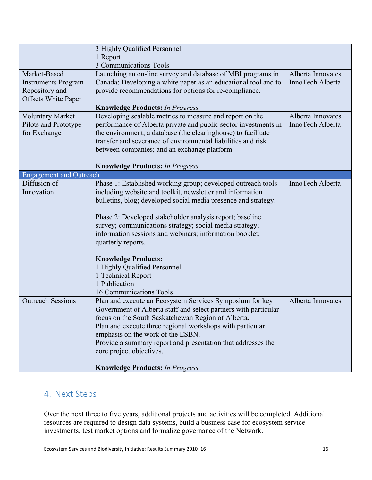|                                | 3 Highly Qualified Personnel                                                                      |                   |
|--------------------------------|---------------------------------------------------------------------------------------------------|-------------------|
|                                | 1 Report                                                                                          |                   |
|                                | <b>3 Communications Tools</b>                                                                     |                   |
| Market-Based                   | Launching an on-line survey and database of MBI programs in                                       | Alberta Innovates |
| <b>Instruments Program</b>     | Canada; Developing a white paper as an educational tool and to                                    | InnoTech Alberta  |
| Repository and                 | provide recommendations for options for re-compliance.                                            |                   |
| <b>Offsets White Paper</b>     |                                                                                                   |                   |
|                                | <b>Knowledge Products: In Progress</b>                                                            |                   |
| <b>Voluntary Market</b>        | Developing scalable metrics to measure and report on the                                          | Alberta Innovates |
| Pilots and Prototype           | performance of Alberta private and public sector investments in                                   | InnoTech Alberta  |
| for Exchange                   | the environment; a database (the clearinghouse) to facilitate                                     |                   |
|                                | transfer and severance of environmental liabilities and risk                                      |                   |
|                                | between companies; and an exchange platform.                                                      |                   |
|                                | <b>Knowledge Products: In Progress</b>                                                            |                   |
| <b>Engagement and Outreach</b> |                                                                                                   |                   |
| Diffusion of                   | Phase 1: Established working group; developed outreach tools                                      | InnoTech Alberta  |
| Innovation                     | including website and toolkit, newsletter and information                                         |                   |
|                                | bulletins, blog; developed social media presence and strategy.                                    |                   |
|                                |                                                                                                   |                   |
|                                | Phase 2: Developed stakeholder analysis report; baseline                                          |                   |
|                                | survey; communications strategy; social media strategy;                                           |                   |
|                                | information sessions and webinars; information booklet;                                           |                   |
|                                | quarterly reports.                                                                                |                   |
|                                |                                                                                                   |                   |
|                                | <b>Knowledge Products:</b>                                                                        |                   |
|                                | 1 Highly Qualified Personnel                                                                      |                   |
|                                | 1 Technical Report                                                                                |                   |
|                                | 1 Publication                                                                                     |                   |
|                                | 16 Communications Tools                                                                           |                   |
| <b>Outreach Sessions</b>       | Plan and execute an Ecosystem Services Symposium for key                                          | Alberta Innovates |
|                                | Government of Alberta staff and select partners with particular                                   |                   |
|                                | focus on the South Saskatchewan Region of Alberta.                                                |                   |
|                                | Plan and execute three regional workshops with particular                                         |                   |
|                                | emphasis on the work of the ESBN.<br>Provide a summary report and presentation that addresses the |                   |
|                                | core project objectives.                                                                          |                   |
|                                |                                                                                                   |                   |
|                                | <b>Knowledge Products: In Progress</b>                                                            |                   |

# 4. Next Steps

Over the next three to five years, additional projects and activities will be completed. Additional resources are required to design data systems, build a business case for ecosystem service investments, test market options and formalize governance of the Network.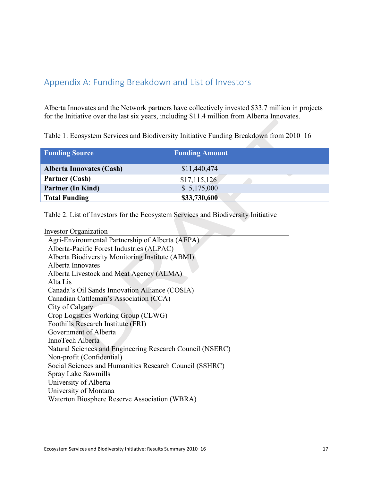# Appendix A: Funding Breakdown and List of Investors

Alberta Innovates and the Network partners have collectively invested \$33.7 million in projects for the Initiative over the last six years, including \$11.4 million from Alberta Innovates.

Table 1: Ecosystem Services and Biodiversity Initiative Funding Breakdown from 2010–16

| <b>Funding Source</b>           | <b>Funding Amount</b> |
|---------------------------------|-----------------------|
| <b>Alberta Innovates (Cash)</b> | \$11,440,474          |
| Partner (Cash)                  | \$17,115,126          |
| <b>Partner (In Kind)</b>        | \$5,175,000           |
| <b>Total Funding</b>            | \$33,730,600          |

Table 2. List of Investors for the Ecosystem Services and Biodiversity Initiative

| <b>Investor Organization</b>                              |
|-----------------------------------------------------------|
| Agri-Environmental Partnership of Alberta (AEPA)          |
| Alberta-Pacific Forest Industries (ALPAC)                 |
| Alberta Biodiversity Monitoring Institute (ABMI)          |
| Alberta Innovates                                         |
| Alberta Livestock and Meat Agency (ALMA)                  |
| Alta Lis                                                  |
| Canada's Oil Sands Innovation Alliance (COSIA)            |
| Canadian Cattleman's Association (CCA)                    |
| City of Calgary                                           |
| Crop Logistics Working Group (CLWG)                       |
| Foothills Research Institute (FRI)                        |
| Government of Alberta                                     |
| InnoTech Alberta                                          |
| Natural Sciences and Engineering Research Council (NSERC) |
| Non-profit (Confidential)                                 |
| Social Sciences and Humanities Research Council (SSHRC)   |
| Spray Lake Sawmills                                       |
| University of Alberta                                     |
| University of Montana                                     |
| Waterton Biosphere Reserve Association (WBRA)             |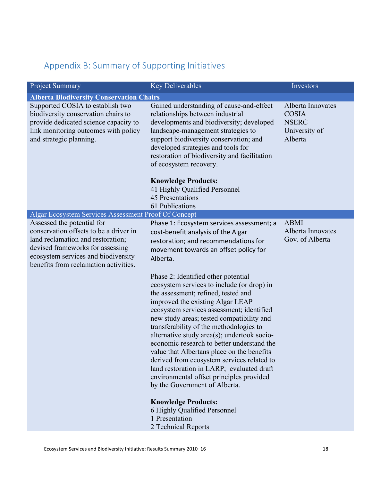# Appendix B: Summary of Supporting Initiatives

| <b>Project Summary</b>                                                                                                                                                                          | <b>Key Deliverables</b>                                                                                                                                                                                                                                                                                                                                                                                                                                                                                                                                                                                              | Investors                                                                     |
|-------------------------------------------------------------------------------------------------------------------------------------------------------------------------------------------------|----------------------------------------------------------------------------------------------------------------------------------------------------------------------------------------------------------------------------------------------------------------------------------------------------------------------------------------------------------------------------------------------------------------------------------------------------------------------------------------------------------------------------------------------------------------------------------------------------------------------|-------------------------------------------------------------------------------|
| <b>Alberta Biodiversity Conservation Chairs</b>                                                                                                                                                 |                                                                                                                                                                                                                                                                                                                                                                                                                                                                                                                                                                                                                      |                                                                               |
| Supported COSIA to establish two<br>biodiversity conservation chairs to<br>provide dedicated science capacity to<br>link monitoring outcomes with policy<br>and strategic planning.             | Gained understanding of cause-and-effect<br>relationships between industrial<br>developments and biodiversity; developed<br>landscape-management strategies to<br>support biodiversity conservation; and<br>developed strategies and tools for<br>restoration of biodiversity and facilitation<br>of ecosystem recovery.                                                                                                                                                                                                                                                                                             | Alberta Innovates<br><b>COSIA</b><br><b>NSERC</b><br>University of<br>Alberta |
|                                                                                                                                                                                                 | <b>Knowledge Products:</b>                                                                                                                                                                                                                                                                                                                                                                                                                                                                                                                                                                                           |                                                                               |
|                                                                                                                                                                                                 | 41 Highly Qualified Personnel                                                                                                                                                                                                                                                                                                                                                                                                                                                                                                                                                                                        |                                                                               |
|                                                                                                                                                                                                 | <b>45 Presentations</b><br>61 Publications                                                                                                                                                                                                                                                                                                                                                                                                                                                                                                                                                                           |                                                                               |
| <b>Algar Ecosystem Services Assessment Proof Of Concept</b>                                                                                                                                     |                                                                                                                                                                                                                                                                                                                                                                                                                                                                                                                                                                                                                      |                                                                               |
| Assessed the potential for                                                                                                                                                                      | Phase 1: Ecosystem services assessment; a                                                                                                                                                                                                                                                                                                                                                                                                                                                                                                                                                                            | <b>ABMI</b>                                                                   |
| conservation offsets to be a driver in<br>land reclamation and restoration;<br>devised frameworks for assessing<br>ecosystem services and biodiversity<br>benefits from reclamation activities. | cost-benefit analysis of the Algar<br>restoration; and recommendations for<br>movement towards an offset policy for<br>Alberta.                                                                                                                                                                                                                                                                                                                                                                                                                                                                                      | Alberta Innovates<br>Gov. of Alberta                                          |
|                                                                                                                                                                                                 | Phase 2: Identified other potential<br>ecosystem services to include (or drop) in<br>the assessment; refined, tested and<br>improved the existing Algar LEAP<br>ecosystem services assessment; identified<br>new study areas; tested compatibility and<br>transferability of the methodologies to<br>alternative study area(s); undertook socio-<br>economic research to better understand the<br>value that Albertans place on the benefits<br>derived from ecosystem services related to<br>land restoration in LARP; evaluated draft<br>environmental offset principles provided<br>by the Government of Alberta. |                                                                               |
|                                                                                                                                                                                                 | <b>Knowledge Products:</b><br>6 Highly Qualified Personnel<br>1 Presentation<br>2 Technical Reports                                                                                                                                                                                                                                                                                                                                                                                                                                                                                                                  |                                                                               |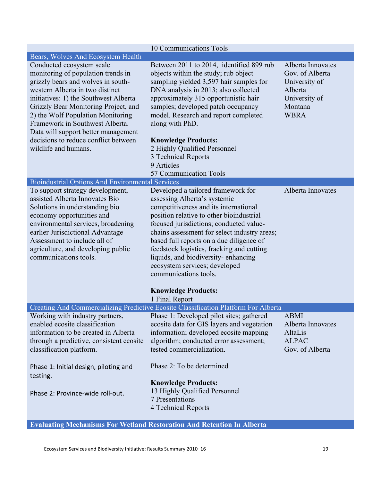|                                                                                                                                                                                                                                                                                                                                                                                                          | 10 Communications Tools                                                                                                                                                                                                                                                                                                                                                                                                                       |                                                                                                             |
|----------------------------------------------------------------------------------------------------------------------------------------------------------------------------------------------------------------------------------------------------------------------------------------------------------------------------------------------------------------------------------------------------------|-----------------------------------------------------------------------------------------------------------------------------------------------------------------------------------------------------------------------------------------------------------------------------------------------------------------------------------------------------------------------------------------------------------------------------------------------|-------------------------------------------------------------------------------------------------------------|
| Bears, Wolves And Ecosystem Health                                                                                                                                                                                                                                                                                                                                                                       |                                                                                                                                                                                                                                                                                                                                                                                                                                               |                                                                                                             |
| Conducted ecosystem scale<br>monitoring of population trends in<br>grizzly bears and wolves in south-<br>western Alberta in two distinct<br>initiatives: 1) the Southwest Alberta<br>Grizzly Bear Monitoring Project, and<br>2) the Wolf Population Monitoring<br>Framework in Southwest Alberta.<br>Data will support better management<br>decisions to reduce conflict between<br>wildlife and humans. | Between 2011 to 2014, identified 899 rub<br>objects within the study; rub object<br>sampling yielded 3,597 hair samples for<br>DNA analysis in 2013; also collected<br>approximately 315 opportunistic hair<br>samples; developed patch occupancy<br>model. Research and report completed<br>along with PhD.<br><b>Knowledge Products:</b><br>2 Highly Qualified Personnel<br>3 Technical Reports<br>9 Articles<br>57 Communication Tools     | Alberta Innovates<br>Gov. of Alberta<br>University of<br>Alberta<br>University of<br>Montana<br><b>WBRA</b> |
| <b>Bioindustrial Options And Environmental Services</b>                                                                                                                                                                                                                                                                                                                                                  |                                                                                                                                                                                                                                                                                                                                                                                                                                               |                                                                                                             |
| To support strategy development,<br>assisted Alberta Innovates Bio<br>Solutions in understanding bio<br>economy opportunities and<br>environmental services, broadening<br>earlier Jurisdictional Advantage<br>Assessment to include all of<br>agriculture, and developing public<br>communications tools.                                                                                               | Developed a tailored framework for<br>assessing Alberta's systemic<br>competitiveness and its international<br>position relative to other bioindustrial-<br>focused jurisdictions; conducted value-<br>chains assessment for select industry areas;<br>based full reports on a due diligence of<br>feedstock logistics, fracking and cutting<br>liquids, and biodiversity-enhancing<br>ecosystem services; developed<br>communications tools. | Alberta Innovates                                                                                           |
|                                                                                                                                                                                                                                                                                                                                                                                                          | <b>Knowledge Products:</b><br>1 Final Report                                                                                                                                                                                                                                                                                                                                                                                                  |                                                                                                             |
|                                                                                                                                                                                                                                                                                                                                                                                                          | Creating And Commercializing Predictive Ecosite Classification Platform For Alberta                                                                                                                                                                                                                                                                                                                                                           |                                                                                                             |
| Working with industry partners,<br>enabled ecosite classification<br>information to be created in Alberta<br>through a predictive, consistent ecosite<br>classification platform.                                                                                                                                                                                                                        | Phase 1: Developed pilot sites; gathered<br>ecosite data for GIS layers and vegetation<br>information; developed ecosite mapping<br>algorithm; conducted error assessment;<br>tested commercialization.                                                                                                                                                                                                                                       | <b>ABMI</b><br>Alberta Innovates<br>AltaLis<br><b>ALPAC</b><br>Gov. of Alberta                              |
| Phase 1: Initial design, piloting and                                                                                                                                                                                                                                                                                                                                                                    | Phase 2: To be determined                                                                                                                                                                                                                                                                                                                                                                                                                     |                                                                                                             |
| testing.                                                                                                                                                                                                                                                                                                                                                                                                 | <b>Knowledge Products:</b>                                                                                                                                                                                                                                                                                                                                                                                                                    |                                                                                                             |
| Phase 2: Province-wide roll-out.                                                                                                                                                                                                                                                                                                                                                                         | 13 Highly Qualified Personnel<br>7 Presentations<br>4 Technical Reports                                                                                                                                                                                                                                                                                                                                                                       |                                                                                                             |
|                                                                                                                                                                                                                                                                                                                                                                                                          |                                                                                                                                                                                                                                                                                                                                                                                                                                               |                                                                                                             |

**Evaluating Mechanisms For Wetland Restoration And Retention In Alberta**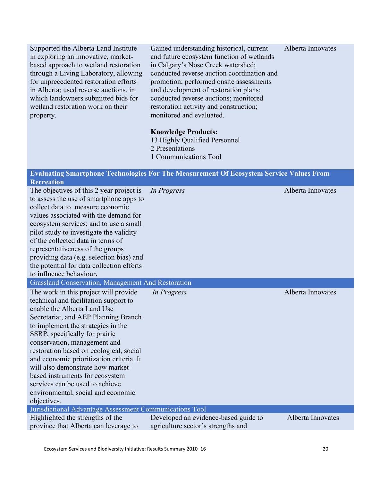Supported the Alberta Land Institute in exploring an innovative, marketbased approach to wetland restoration through a Living Laboratory, allowing for unprecedented restoration efforts in Alberta; used reverse auctions, in which landowners submitted bids for wetland restoration work on their property.

Gained understanding historical, current and future ecosystem function of wetlands in Calgary's Nose Creek watershed; conducted reverse auction coordination and promotion; performed onsite assessments and development of restoration plans; conducted reverse auctions; monitored restoration activity and construction; monitored and evaluated. Alberta Innovates

#### **Knowledge Products:**

**Evaluating Smartphone Technologies For The Measurement Of Ecosystem Service Values From** 

13 Highly Qualified Personnel 2 Presentations 1 Communications Tool

|                                                                                                                                                                  | етапание энцитриону тусиноюдся гот тие вызагение от есозуясни эсттес тапся гтонг |                   |
|------------------------------------------------------------------------------------------------------------------------------------------------------------------|----------------------------------------------------------------------------------|-------------------|
| <b>Recreation</b>                                                                                                                                                |                                                                                  |                   |
| The objectives of this 2 year project is<br>to assess the use of smartphone apps to<br>collect data to measure economic<br>values associated with the demand for | In Progress                                                                      | Alberta Innovates |
| ecosystem services; and to use a small                                                                                                                           |                                                                                  |                   |
| pilot study to investigate the validity                                                                                                                          |                                                                                  |                   |
| of the collected data in terms of                                                                                                                                |                                                                                  |                   |
| representativeness of the groups                                                                                                                                 |                                                                                  |                   |
| providing data (e.g. selection bias) and                                                                                                                         |                                                                                  |                   |
| the potential for data collection efforts                                                                                                                        |                                                                                  |                   |
| to influence behaviour.                                                                                                                                          |                                                                                  |                   |
| <b>Grassland Conservation, Management And Restoration</b>                                                                                                        |                                                                                  |                   |
| The work in this project will provide<br>technical and facilitation support to                                                                                   | In Progress                                                                      | Alberta Innovates |
| enable the Alberta Land Use                                                                                                                                      |                                                                                  |                   |
| Secretariat, and AEP Planning Branch                                                                                                                             |                                                                                  |                   |
| to implement the strategies in the                                                                                                                               |                                                                                  |                   |
| SSRP, specifically for prairie                                                                                                                                   |                                                                                  |                   |
| conservation, management and                                                                                                                                     |                                                                                  |                   |
| restoration based on ecological, social                                                                                                                          |                                                                                  |                   |
| and economic prioritization criteria. It                                                                                                                         |                                                                                  |                   |
| will also demonstrate how market-                                                                                                                                |                                                                                  |                   |
| based instruments for ecosystem                                                                                                                                  |                                                                                  |                   |
| services can be used to achieve                                                                                                                                  |                                                                                  |                   |
| environmental, social and economic                                                                                                                               |                                                                                  |                   |
| objectives.                                                                                                                                                      |                                                                                  |                   |
| Jurisdictional Advantage Assessment Communications Tool                                                                                                          |                                                                                  |                   |
| Highlighted the strengths of the                                                                                                                                 | Developed an evidence-based guide to                                             | Alberta Innovates |
| province that Alberta can leverage to                                                                                                                            | agriculture sector's strengths and                                               |                   |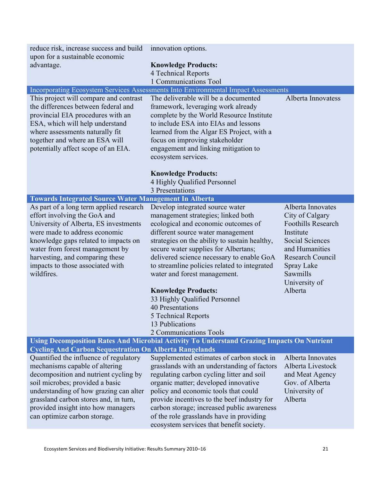| reduce risk, increase success and build<br>upon for a sustainable economic                                                                                                                                                                                                                                        | innovation options.                                                                                                                                                                                                                                                                                                                                                                                                                                                                                                                   |                                                                                                                                                                                                      |  |
|-------------------------------------------------------------------------------------------------------------------------------------------------------------------------------------------------------------------------------------------------------------------------------------------------------------------|---------------------------------------------------------------------------------------------------------------------------------------------------------------------------------------------------------------------------------------------------------------------------------------------------------------------------------------------------------------------------------------------------------------------------------------------------------------------------------------------------------------------------------------|------------------------------------------------------------------------------------------------------------------------------------------------------------------------------------------------------|--|
| advantage.                                                                                                                                                                                                                                                                                                        | <b>Knowledge Products:</b><br>4 Technical Reports                                                                                                                                                                                                                                                                                                                                                                                                                                                                                     |                                                                                                                                                                                                      |  |
|                                                                                                                                                                                                                                                                                                                   | 1 Communications Tool                                                                                                                                                                                                                                                                                                                                                                                                                                                                                                                 |                                                                                                                                                                                                      |  |
| This project will compare and contrast<br>the differences between federal and<br>provincial EIA procedures with an<br>ESA, which will help understand<br>where assessments naturally fit<br>together and where an ESA will<br>potentially affect scope of an EIA.                                                 | Incorporating Ecosystem Services Assessments Into Environmental Impact Assessments<br>The deliverable will be a documented<br>framework, leveraging work already<br>complete by the World Resource Institute<br>to include ESA into EIAs and lessons<br>learned from the Algar ES Project, with a<br>focus on improving stakeholder<br>engagement and linking mitigation to<br>ecosystem services.                                                                                                                                    | Alberta Innovatess                                                                                                                                                                                   |  |
|                                                                                                                                                                                                                                                                                                                   | <b>Knowledge Products:</b><br>4 Highly Qualified Personnel<br>3 Presentations                                                                                                                                                                                                                                                                                                                                                                                                                                                         |                                                                                                                                                                                                      |  |
| <b>Towards Integrated Source Water Management In Alberta</b>                                                                                                                                                                                                                                                      |                                                                                                                                                                                                                                                                                                                                                                                                                                                                                                                                       |                                                                                                                                                                                                      |  |
| As part of a long term applied research<br>effort involving the GoA and<br>University of Alberta, ES investments<br>were made to address economic<br>knowledge gaps related to impacts on<br>water from forest management by<br>harvesting, and comparing these<br>impacts to those associated with<br>wildfires. | Develop integrated source water<br>management strategies; linked both<br>ecological and economic outcomes of<br>different source water management<br>strategies on the ability to sustain healthy,<br>secure water supplies for Albertans;<br>delivered science necessary to enable GoA<br>to streamline policies related to integrated<br>water and forest management.<br><b>Knowledge Products:</b><br>33 Highly Qualified Personnel<br><b>40 Presentations</b><br>5 Technical Reports<br>13 Publications<br>2 Communications Tools | Alberta Innovates<br>City of Calgary<br><b>Foothills Research</b><br>Institute<br><b>Social Sciences</b><br>and Humanities<br>Research Council<br>Spray Lake<br>Sawmills<br>University of<br>Alberta |  |
|                                                                                                                                                                                                                                                                                                                   | Using Decomposition Rates And Microbial Activity To Understand Grazing Impacts On Nutrient                                                                                                                                                                                                                                                                                                                                                                                                                                            |                                                                                                                                                                                                      |  |
| <b>Cycling And Carbon Sequestration On Alberta Rangelands</b>                                                                                                                                                                                                                                                     |                                                                                                                                                                                                                                                                                                                                                                                                                                                                                                                                       |                                                                                                                                                                                                      |  |
| Quantified the influence of regulatory<br>mechanisms capable of altering<br>decomposition and nutrient cycling by<br>soil microbes; provided a basic<br>understanding of how grazing can alter<br>grassland carbon stores and, in turn,<br>provided insight into how managers<br>can optimize carbon storage.     | Supplemented estimates of carbon stock in<br>grasslands with an understanding of factors<br>regulating carbon cycling litter and soil<br>organic matter; developed innovative<br>policy and economic tools that could<br>provide incentives to the beef industry for<br>carbon storage; increased public awareness<br>of the role grasslands have in providing<br>ecosystem services that benefit society.                                                                                                                            | Alberta Innovates<br>Alberta Livestock<br>and Meat Agency<br>Gov. of Alberta<br>University of<br>Alberta                                                                                             |  |

 $\overline{\phantom{a}}$ 

I